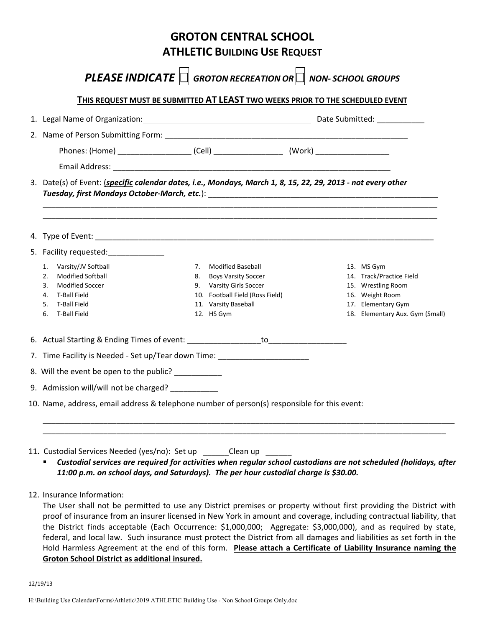| <b>ATHLETIC BUILDING USE REQUEST</b> |                                                                                                                 |                                                                                                                            |  |                                                                                         |  |
|--------------------------------------|-----------------------------------------------------------------------------------------------------------------|----------------------------------------------------------------------------------------------------------------------------|--|-----------------------------------------------------------------------------------------|--|
|                                      |                                                                                                                 | <b>PLEASE INDICATE</b> $\Box$ GROTON RECREATION OR $\Box$ NON-SCHOOL GROUPS                                                |  |                                                                                         |  |
|                                      |                                                                                                                 | THIS REQUEST MUST BE SUBMITTED AT LEAST TWO WEEKS PRIOR TO THE SCHEDULED EVENT                                             |  |                                                                                         |  |
|                                      |                                                                                                                 |                                                                                                                            |  |                                                                                         |  |
|                                      |                                                                                                                 |                                                                                                                            |  |                                                                                         |  |
|                                      |                                                                                                                 |                                                                                                                            |  |                                                                                         |  |
|                                      |                                                                                                                 |                                                                                                                            |  |                                                                                         |  |
|                                      | 3. Date(s) of Event: (specific calendar dates, i.e., Mondays, March 1, 8, 15, 22, 29, 2013 - not every other    |                                                                                                                            |  |                                                                                         |  |
|                                      | 4. Type of Event: All the same state of the same state of the same state of the same state of the same state of |                                                                                                                            |  |                                                                                         |  |
|                                      | 5. Facility requested:                                                                                          |                                                                                                                            |  |                                                                                         |  |
|                                      | 1. Varsity/JV Softball                                                                                          | 7. Modified Baseball                                                                                                       |  | 13. MS Gym                                                                              |  |
| 6.                                   | 2. Modified Softball<br>3. Modified Soccer<br>4. T-Ball Field<br>5. T-Ball Field<br>T-Ball Field                | 8. Boys Varsity Soccer<br>9. Varsity Girls Soccer<br>10. Football Field (Ross Field)<br>11. Varsity Baseball<br>12. HS Gym |  | 14. Track/Practice Field<br>15. Wrestling Room<br>16. Weight Room<br>17. Elementary Gym |  |
|                                      |                                                                                                                 |                                                                                                                            |  | 18. Elementary Aux. Gym (Small)                                                         |  |
|                                      | 7. Time Facility is Needed - Set up/Tear down Time:                                                             |                                                                                                                            |  |                                                                                         |  |
|                                      | 8. Will the event be open to the public? _________                                                              |                                                                                                                            |  |                                                                                         |  |
|                                      | 9. Admission will/will not be charged?                                                                          |                                                                                                                            |  |                                                                                         |  |

11. Custodial Services Needed (yes/no): Set up \_\_\_\_\_\_Clean up \_\_\_

 *Custodial services are required for activities when regular school custodians are not scheduled (holidays, after 11:00 p.m. on school days, and Saturdays). The per hour custodial charge is \$30.00.* 

12. Insurance Information:

The User shall not be permitted to use any District premises or property without first providing the District with proof of insurance from an insurer licensed in New York in amount and coverage, including contractual liability, that the District finds acceptable (Each Occurrence: \$1,000,000; Aggregate: \$3,000,000), and as required by state, federal, and local law. Such insurance must protect the District from all damages and liabilities as set forth in the Hold Harmless Agreement at the end of this form. **Please attach a Certificate of Liability Insurance naming the Groton School District as additional insured.**

12/19/13